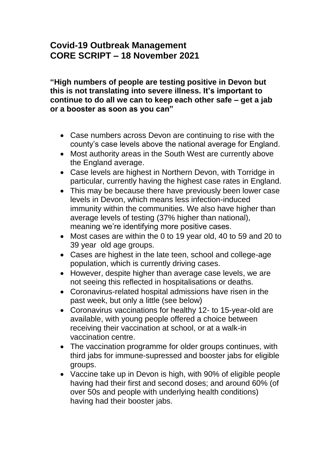# **Covid-19 Outbreak Management CORE SCRIPT – 18 November 2021**

**"High numbers of people are testing positive in Devon but this is not translating into severe illness. It's important to continue to do all we can to keep each other safe – get a jab or a booster as soon as you can"**

- Case numbers across Devon are continuing to rise with the county's case levels above the national average for England.
- Most authority areas in the South West are currently above the England average.
- Case levels are highest in Northern Devon, with Torridge in particular, currently having the highest case rates in England.
- This may be because there have previously been lower case levels in Devon, which means less infection-induced immunity within the communities. We also have higher than average levels of testing (37% higher than national), meaning we're identifying more positive cases.
- Most cases are within the 0 to 19 year old, 40 to 59 and 20 to 39 year old age groups.
- Cases are highest in the late teen, school and college-age population, which is currently driving cases.
- However, despite higher than average case levels, we are not seeing this reflected in hospitalisations or deaths.
- Coronavirus-related hospital admissions have risen in the past week, but only a little (see below)
- Coronavirus vaccinations for healthy 12- to 15-year-old are available, with young people offered a choice between receiving their vaccination at school, or at a walk-in vaccination centre.
- The vaccination programme for older groups continues, with third jabs for immune-supressed and booster jabs for eligible groups.
- Vaccine take up in Devon is high, with 90% of eligible people having had their first and second doses; and around 60% (of over 50s and people with underlying health conditions) having had their booster jabs.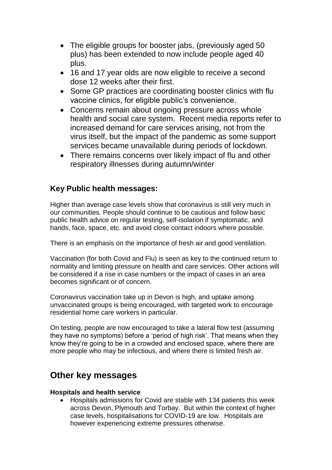- The eligible groups for booster jabs, (previously aged 50 plus) has been extended to now include people aged 40 plus.
- 16 and 17 year olds are now eligible to receive a second dose 12 weeks after their first.
- Some GP practices are coordinating booster clinics with flu vaccine clinics, for eligible public's convenience.
- Concerns remain about ongoing pressure across whole health and social care system. Recent media reports refer to increased demand for care services arising, not from the virus itself, but the impact of the pandemic as some support services became unavailable during periods of lockdown.
- There remains concerns over likely impact of flu and other respiratory illnesses during autumn/winter

### **Key Public health messages:**

Higher than average case levels show that coronavirus is still very much in our communities. People should continue to be cautious and follow basic public health advice on regular testing, self-isolation if symptomatic, and hands, face, space, etc. and avoid close contact indoors where possible.

There is an emphasis on the importance of fresh air and good ventilation.

Vaccination (for both Covid and Flu) is seen as key to the continued return to normality and limiting pressure on health and care services. Other actions will be considered if a rise in case numbers or the impact of cases in an area becomes significant or of concern.

Coronavirus vaccination take up in Devon is high, and uptake among unvaccinated groups is being encouraged, with targeted work to encourage residential home care workers in particular.

On testing, people are now encouraged to take a lateral flow test (assuming they have no symptoms) before a 'period of high risk'. That means when they know they're going to be in a crowded and enclosed space, where there are more people who may be infectious, and where there is limited fresh air.

## **Other key messages**

#### **Hospitals and health service**

 Hospitals admissions for Covid are stable with 134 patients this week across Devon, Plymouth and Torbay. But within the context of higher case levels, hospitalisations for COVID-19 are low. Hospitals are however experiencing extreme pressures otherwise.